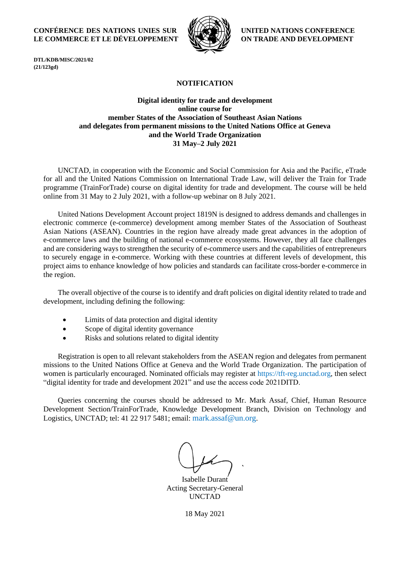## **CONFÉRENCE DES NATIONS UNIES SUR LE COMMERCE ET LE DÉVELOPPEMENT**



**UNITED NATIONS CONFERENCE ON TRADE AND DEVELOPMENT**

**DTL/KDB/MISC/2021/02 (21/123gd)**

# **NOTIFICATION**

# **Digital identity for trade and development online course for member States of the Association of Southeast Asian Nations and delegates from permanent missions to the United Nations Office at Geneva and the World Trade Organization 31 May–2 July 2021**

UNCTAD, in cooperation with the Economic and Social Commission for Asia and the Pacific, eTrade for all and the United Nations Commission on International Trade Law, will deliver the Train for Trade programme (TrainForTrade) course on digital identity for trade and development. The course will be held online from 31 May to 2 July 2021, with a follow-up webinar on 8 July 2021.

United Nations Development Account project 1819N is designed to address demands and challenges in electronic commerce (e-commerce) development among member States of the Association of Southeast Asian Nations (ASEAN). Countries in the region have already made great advances in the adoption of e-commerce laws and the building of national e-commerce ecosystems. However, they all face challenges and are considering ways to strengthen the security of e-commerce users and the capabilities of entrepreneurs to securely engage in e-commerce. Working with these countries at different levels of development, this project aims to enhance knowledge of how policies and standards can facilitate cross-border e-commerce in the region.

The overall objective of the course is to identify and draft policies on digital identity related to trade and development, including defining the following:

- Limits of data protection and digital identity
- Scope of digital identity governance
- Risks and solutions related to digital identity

Registration is open to all relevant stakeholders from the ASEAN region and delegates from permanent missions to the United Nations Office at Geneva and the World Trade Organization. The participation of women is particularly encouraged. Nominated officials may register at [https://tft-reg.unctad.org,](https://tft-reg.unctad.org/) then select "digital identity for trade and development 2021" and use the access code 2021DITD.

Queries concerning the courses should be addressed to Mr. Mark Assaf, Chief, Human Resource Development Section/TrainForTrade, Knowledge Development Branch, Division on Technology and Logistics, UNCTAD; tel: 41 22 917 5481; email: [mark.assaf@un.org](mailto:mark.assaf@un.org).

Isabelle Durant Acting Secretary-General UNCTAD

18 May 2021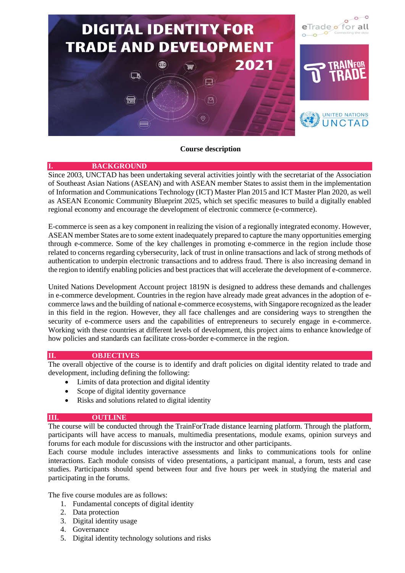

### **Course description**

### **I. BACKGROUND**

Since 2003, UNCTAD has been undertaking several activities jointly with the secretariat of the Association of Southeast Asian Nations (ASEAN) and with ASEAN member States to assist them in the implementation of Information and Communications Technology (ICT) Master Plan 2015 and ICT Master Plan 2020, as well as ASEAN Economic Community Blueprint 2025, which set specific measures to build a digitally enabled regional economy and encourage the development of electronic commerce (e-commerce).

E-commerce is seen as a key component in realizing the vision of a regionally integrated economy. However, ASEAN member States are to some extent inadequately prepared to capture the many opportunities emerging through e-commerce. Some of the key challenges in promoting e-commerce in the region include those related to concerns regarding cybersecurity, lack of trust in online transactions and lack of strong methods of authentication to underpin electronic transactions and to address fraud. There is also increasing demand in the region to identify enabling policies and best practices that will accelerate the development of e-commerce.

United Nations Development Account project 1819N is designed to address these demands and challenges in e-commerce development. Countries in the region have already made great advances in the adoption of ecommerce laws and the building of national e-commerce ecosystems, with Singapore recognized as the leader in this field in the region. However, they all face challenges and are considering ways to strengthen the security of e-commerce users and the capabilities of entrepreneurs to securely engage in e-commerce. Working with these countries at different levels of development, this project aims to enhance knowledge of how policies and standards can facilitate cross-border e-commerce in the region.

# **II. OBJECTIVES**

The overall objective of the course is to identify and draft policies on digital identity related to trade and development, including defining the following:

- Limits of data protection and digital identity
- Scope of digital identity governance
- Risks and solutions related to digital identity

# **III. OUTLINE**

The course will be conducted through the TrainForTrade distance learning platform. Through the platform, participants will have access to manuals, multimedia presentations, module exams, opinion surveys and forums for each module for discussions with the instructor and other participants.

Each course module includes interactive assessments and links to communications tools for online interactions. Each module consists of video presentations, a participant manual, a forum, tests and case studies. Participants should spend between four and five hours per week in studying the material and participating in the forums.

The five course modules are as follows:

- 1. Fundamental concepts of digital identity
- 2. Data protection
- 3. Digital identity usage
- 4. Governance
- 5. Digital identity technology solutions and risks